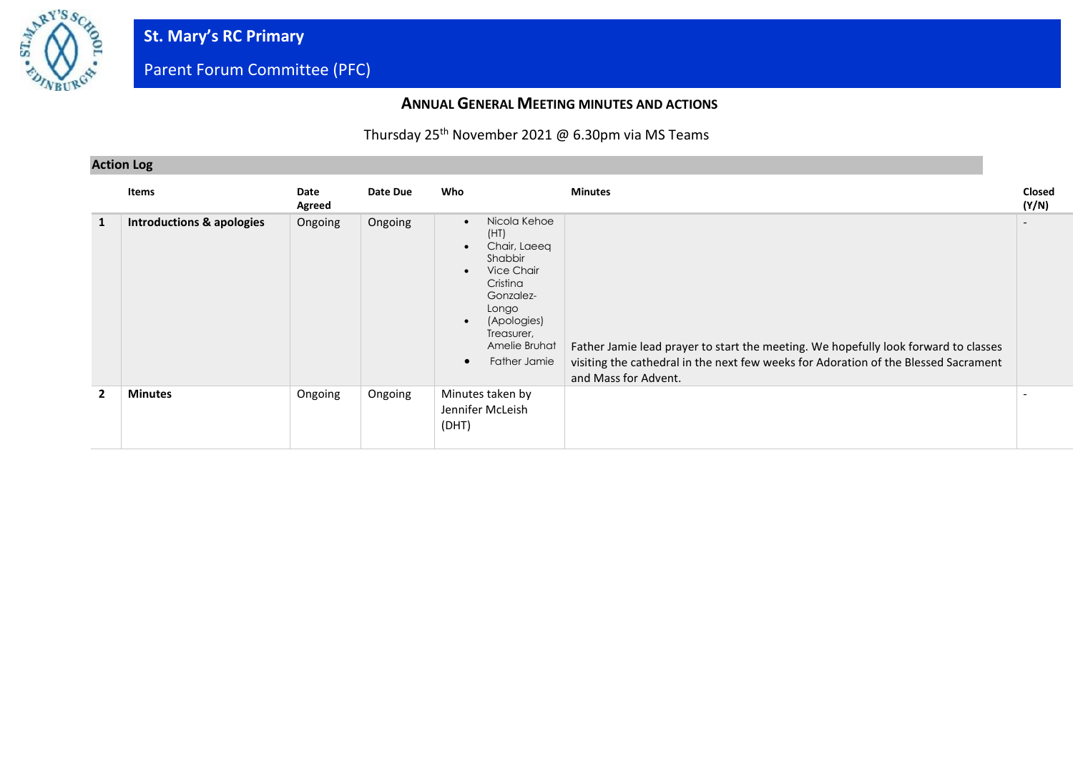

#### **ANNUAL GENERAL MEETING MINUTES AND ACTIONS**

### Thursday 25<sup>th</sup> November 2021 @ 6.30pm via MS Teams

#### **Action Log**

|                | Items                                | Date<br>Agreed | Date Due | Who                                                                                                                                                                                                               | <b>Minutes</b>                                                                                                                                                                                     | Closed<br>(Y/N) |
|----------------|--------------------------------------|----------------|----------|-------------------------------------------------------------------------------------------------------------------------------------------------------------------------------------------------------------------|----------------------------------------------------------------------------------------------------------------------------------------------------------------------------------------------------|-----------------|
| 1              | <b>Introductions &amp; apologies</b> | Ongoing        | Ongoing  | Nicola Kehoe<br>$\bullet$<br>(HT)<br>Chair, Laeeq<br>Shabbir<br>Vice Chair<br>$\bullet$<br>Cristina<br>Gonzalez-<br>Longo<br>(Apologies)<br>$\bullet$<br>Treasurer,<br>Amelie Bruhat<br>Father Jamie<br>$\bullet$ | Father Jamie lead prayer to start the meeting. We hopefully look forward to classes<br>visiting the cathedral in the next few weeks for Adoration of the Blessed Sacrament<br>and Mass for Advent. |                 |
| $\overline{2}$ | <b>Minutes</b>                       | Ongoing        | Ongoing  | Minutes taken by<br>Jennifer McLeish<br>(DHT)                                                                                                                                                                     |                                                                                                                                                                                                    |                 |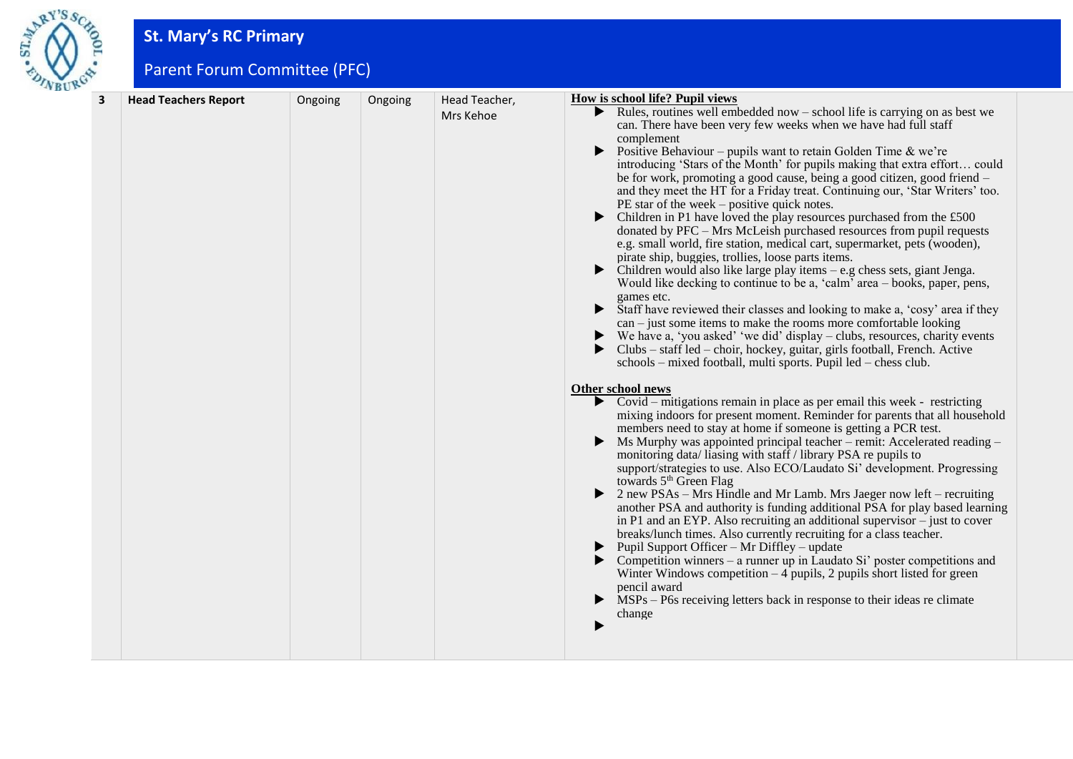

# **St. Mary's RC Primary**

Parent Forum Committee (PFC)

| <b>Head Teachers Report</b> | Ongoing | Ongoing | Head Teacher,<br>Mrs Kehoe | Rules, routines well embedded now $-$ school life is carrying on as best we<br>can. There have been very few weeks when we have had full staff<br>complement<br>Positive Behaviour – pupils want to retain Golden Time $\&$ we're<br>$\blacktriangleright$<br>introducing 'Stars of the Month' for pupils making that extra effort could<br>be for work, promoting a good cause, being a good citizen, good friend -<br>and they meet the HT for a Friday treat. Continuing our, 'Star Writers' too.<br>$PE$ star of the week – positive quick notes.<br>Children in P1 have loved the play resources purchased from the £500<br>donated by PFC - Mrs McLeish purchased resources from pupil requests<br>e.g. small world, fire station, medical cart, supermarket, pets (wooden),<br>pirate ship, buggies, trollies, loose parts items.<br>$\blacktriangleright$<br>Children would also like large play items – e.g chess sets, giant Jenga.<br>Would like decking to continue to be a, 'calm' area – books, paper, pens,<br>games etc.<br>Staff have reviewed their classes and looking to make a, 'cosy' area if they<br>▶<br>$can$ – just some items to make the rooms more comfortable looking<br>We have a, 'you asked' 'we did' display – clubs, resources, charity events<br>Clubs – staff led – choir, hockey, guitar, girls football, French. Active<br>▶ |
|-----------------------------|---------|---------|----------------------------|---------------------------------------------------------------------------------------------------------------------------------------------------------------------------------------------------------------------------------------------------------------------------------------------------------------------------------------------------------------------------------------------------------------------------------------------------------------------------------------------------------------------------------------------------------------------------------------------------------------------------------------------------------------------------------------------------------------------------------------------------------------------------------------------------------------------------------------------------------------------------------------------------------------------------------------------------------------------------------------------------------------------------------------------------------------------------------------------------------------------------------------------------------------------------------------------------------------------------------------------------------------------------------------------------------------------------------------------------------------------|
|                             |         |         |                            | schools – mixed football, multi sports. Pupil led – chess club.<br>Other school news<br>$\triangleright$ Covid – mitigations remain in place as per email this week - restricting<br>mixing indoors for present moment. Reminder for parents that all household<br>members need to stay at home if someone is getting a PCR test.<br>Ms Murphy was appointed principal teacher – remit: Accelerated reading –<br>monitoring data/liasing with staff / library PSA re pupils to<br>support/strategies to use. Also ECO/Laudato Si' development. Progressing<br>towards 5 <sup>th</sup> Green Flag<br>$\triangleright$ 2 new PSAs – Mrs Hindle and Mr Lamb. Mrs Jaeger now left – recruiting<br>another PSA and authority is funding additional PSA for play based learning<br>in P1 and an EYP. Also recruiting an additional supervisor $-$ just to cover<br>breaks/lunch times. Also currently recruiting for a class teacher.<br>$\blacktriangleright$ Pupil Support Officer – Mr Diffley – update<br>Competition winners - a runner up in Laudato Si' poster competitions and<br>Winter Windows competition $-4$ pupils, 2 pupils short listed for green<br>pencil award<br>MSPs – P6s receiving letters back in response to their ideas re climate<br>▶<br>change                                                                                               |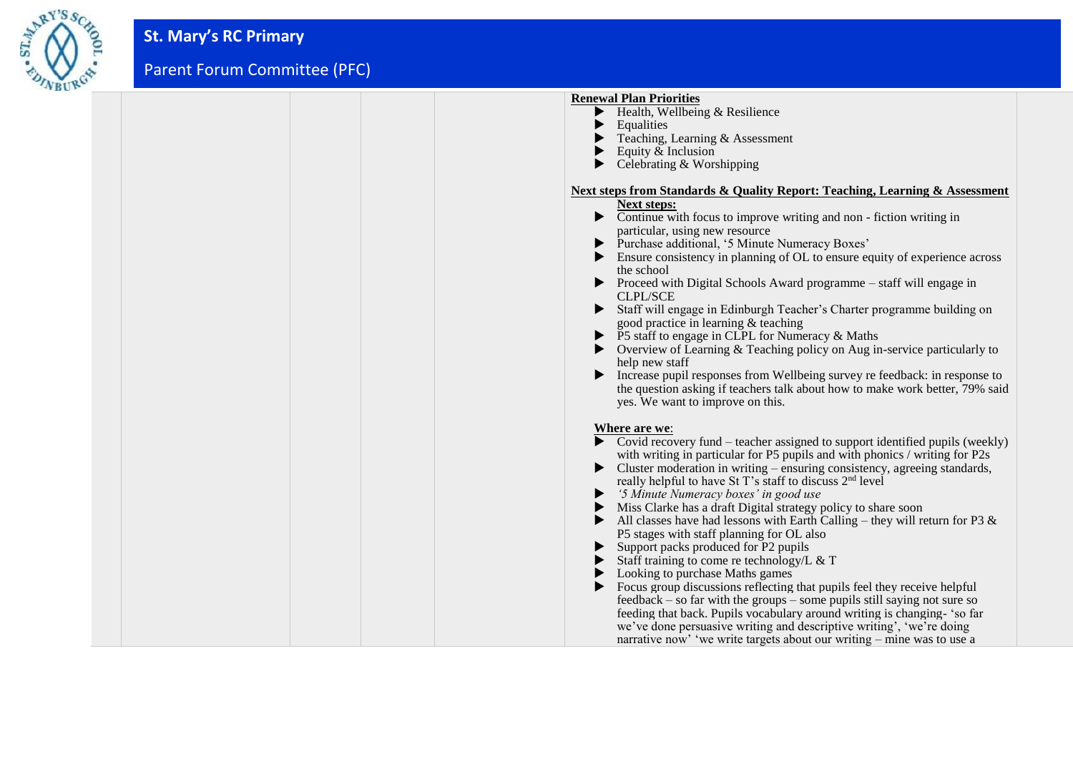

| <b>Renewal Plan Priorities</b>                                                                          |
|---------------------------------------------------------------------------------------------------------|
| $\blacktriangleright$ Health, Wellbeing & Resilience                                                    |
| Equalities                                                                                              |
| Teaching, Learning & Assessment                                                                         |
| Equity & Inclusion                                                                                      |
| Celebrating & Worshipping                                                                               |
|                                                                                                         |
| Next steps from Standards & Quality Report: Teaching, Learning & Assessment                             |
| <b>Next steps:</b>                                                                                      |
| • Continue with focus to improve writing and non - fiction writing in                                   |
| particular, using new resource                                                                          |
| • Purchase additional, '5 Minute Numeracy Boxes'                                                        |
| Ensure consistency in planning of OL to ensure equity of experience across<br>▶                         |
| the school                                                                                              |
| $\triangleright$ Proceed with Digital Schools Award programme – staff will engage in<br><b>CLPL/SCE</b> |
| Staff will engage in Edinburgh Teacher's Charter programme building on                                  |
| good practice in learning & teaching                                                                    |
| ▶ P5 staff to engage in CLPL for Numeracy & Maths                                                       |
| $\triangleright$ Overview of Learning & Teaching policy on Aug in-service particularly to               |
| help new staff                                                                                          |
| • Increase pupil responses from Wellbeing survey refeedback: in response to                             |
| the question asking if teachers talk about how to make work better, 79% said                            |
| yes. We want to improve on this.                                                                        |
|                                                                                                         |
| Where are we:                                                                                           |
| $\triangleright$ Covid recovery fund – teacher assigned to support identified pupils (weekly)           |
| with writing in particular for P5 pupils and with phonics / writing for P2s                             |
| ▶<br>Cluster moderation in writing – ensuring consistency, agreeing standards,                          |
| really helpful to have St T's staff to discuss 2 <sup>nd</sup> level                                    |
| • '5 Minute Numeracy boxes' in good use                                                                 |
| • Miss Clarke has a draft Digital strategy policy to share soon                                         |
| All classes have had lessons with Earth Calling – they will return for P3 $\&$                          |
| P5 stages with staff planning for OL also                                                               |
| Support packs produced for P2 pupils                                                                    |
| Staff training to come re technology/L & T                                                              |
| Looking to purchase Maths games                                                                         |
| Focus group discussions reflecting that pupils feel they receive helpful                                |
| $feedback - so far with the groups - some pupils still saying not sure so$                              |
| feeding that back. Pupils vocabulary around writing is changing- 'so far                                |
| we've done persuasive writing and descriptive writing', 'we're doing                                    |
| narrative now' 'we write targets about our writing – mine was to use a                                  |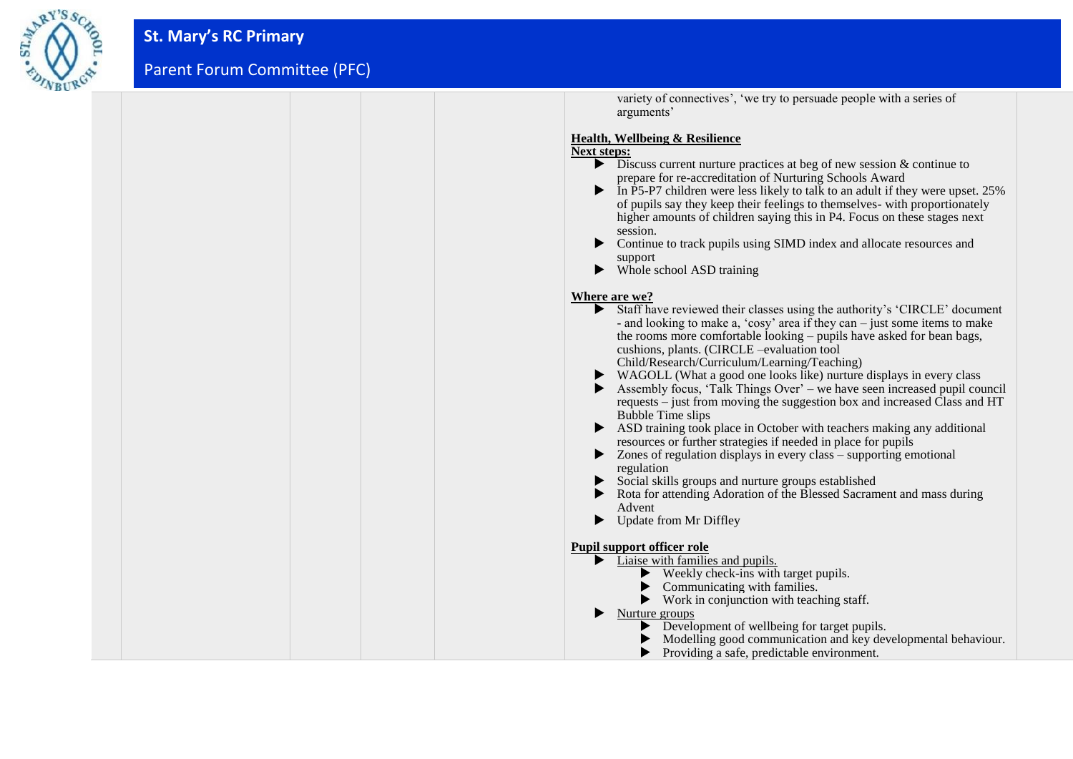

| variety of connectives', 'we try to persuade people with a series of<br>arguments'                                                                                                                                                                                                                                                                                                                                                                                                                                                                                                                                                                                                                                                                                                                                                                                                                                                                                                                                   |
|----------------------------------------------------------------------------------------------------------------------------------------------------------------------------------------------------------------------------------------------------------------------------------------------------------------------------------------------------------------------------------------------------------------------------------------------------------------------------------------------------------------------------------------------------------------------------------------------------------------------------------------------------------------------------------------------------------------------------------------------------------------------------------------------------------------------------------------------------------------------------------------------------------------------------------------------------------------------------------------------------------------------|
| Health, Wellbeing & Resilience<br><b>Next steps:</b><br>$\triangleright$ Discuss current nurture practices at beg of new session & continue to<br>prepare for re-accreditation of Nurturing Schools Award<br>In P5-P7 children were less likely to talk to an adult if they were upset. 25%<br>▶<br>of pupils say they keep their feelings to themselves- with proportionately<br>higher amounts of children saying this in P4. Focus on these stages next<br>session.<br>Continue to track pupils using SIMD index and allocate resources and<br>▶<br>support<br>Whole school ASD training<br>▶                                                                                                                                                                                                                                                                                                                                                                                                                     |
| Where are we?<br>Staff have reviewed their classes using the authority's 'CIRCLE' document<br>- and looking to make a, 'cosy' area if they can – just some items to make<br>the rooms more comfortable looking – pupils have asked for bean bags,<br>cushions, plants. (CIRCLE -evaluation tool<br>Child/Research/Curriculum/Learning/Teaching)<br>WAGOLL (What a good one looks like) nurture displays in every class<br>▶<br>Assembly focus, 'Talk Things Over' – we have seen increased pupil council<br>requests – just from moving the suggestion box and increased Class and HT<br><b>Bubble Time slips</b><br>ASD training took place in October with teachers making any additional<br>resources or further strategies if needed in place for pupils<br>Zones of regulation displays in every class – supporting emotional<br>regulation<br>Social skills groups and nurture groups established<br>Rota for attending Adoration of the Blessed Sacrament and mass during<br>Advent<br>Update from Mr Diffley |
| <b>Pupil support officer role</b><br>Liaise with families and pupils.<br>Weekly check-ins with target pupils.<br>Communicating with families.<br>$\blacktriangleright$ Work in conjunction with teaching staff.<br>Nurture groups<br>Development of wellbeing for target pupils.<br>Modelling good communication and key developmental behaviour.<br>Providing a safe, predictable environment.                                                                                                                                                                                                                                                                                                                                                                                                                                                                                                                                                                                                                      |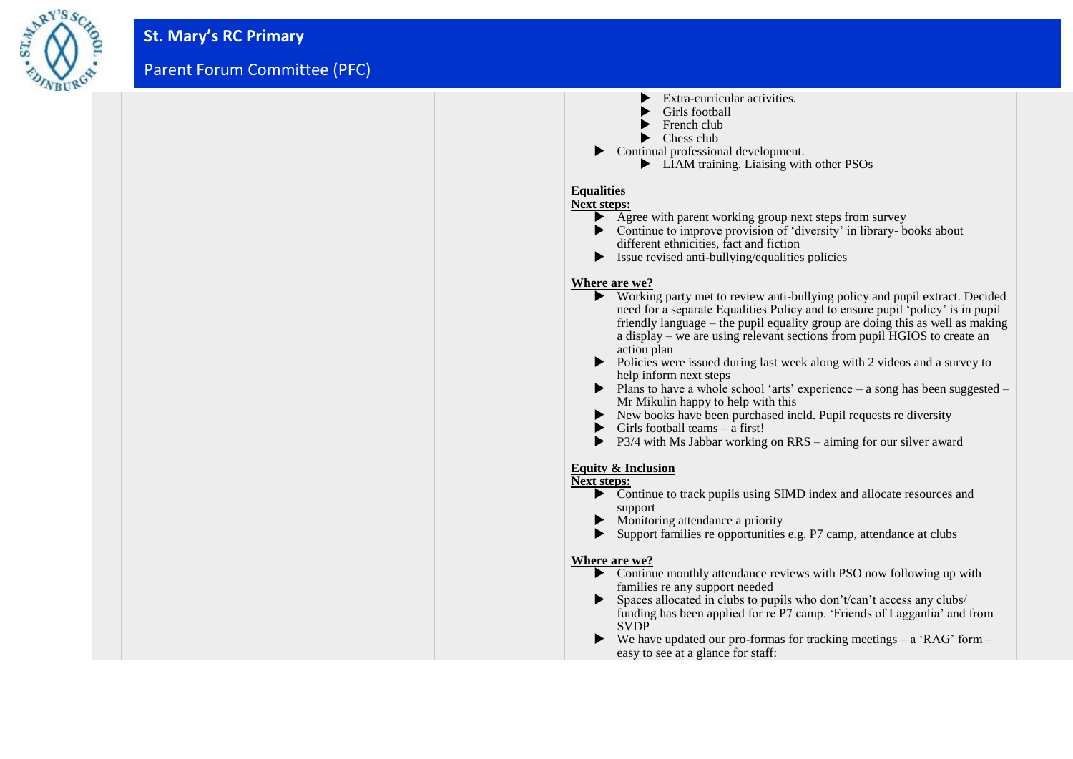

| Extra-curricular activities.<br>Girls football<br>French club<br>Chess club<br>Continual professional development.<br>• LIAM training. Liaising with other PSOs<br><b>Equalities</b><br><b>Next steps:</b><br>Agree with parent working group next steps from survey                                                                                                                                                                                                                                                                                                                                                                                                                                                                                                                         |
|----------------------------------------------------------------------------------------------------------------------------------------------------------------------------------------------------------------------------------------------------------------------------------------------------------------------------------------------------------------------------------------------------------------------------------------------------------------------------------------------------------------------------------------------------------------------------------------------------------------------------------------------------------------------------------------------------------------------------------------------------------------------------------------------|
| • Continue to improve provision of 'diversity' in library- books about<br>different ethnicities, fact and fiction<br>Issue revised anti-bullying/equalities policies<br>▶                                                                                                                                                                                                                                                                                                                                                                                                                                                                                                                                                                                                                    |
| Where are we?<br>• Working party met to review anti-bullying policy and pupil extract. Decided<br>need for a separate Equalities Policy and to ensure pupil 'policy' is in pupil<br>friendly language – the pupil equality group are doing this as well as making<br>a display – we are using relevant sections from pupil HGIOS to create an<br>action plan<br>▶<br>Policies were issued during last week along with 2 videos and a survey to<br>help inform next steps<br>$\triangleright$ Plans to have a whole school 'arts' experience – a song has been suggested –<br>Mr Mikulin happy to help with this<br>New books have been purchased incld. Pupil requests re diversity<br>Girls football teams $-$ a first!<br>P3/4 with Ms Jabbar working on RRS – aiming for our silver award |
| <b>Equity &amp; Inclusion</b>                                                                                                                                                                                                                                                                                                                                                                                                                                                                                                                                                                                                                                                                                                                                                                |
| <b>Next steps:</b><br>Continue to track pupils using SIMD index and allocate resources and<br>support<br>Monitoring attendance a priority<br>▶<br>Support families re opportunities e.g. P7 camp, attendance at clubs<br>▶                                                                                                                                                                                                                                                                                                                                                                                                                                                                                                                                                                   |
| Where are we?<br>• Continue monthly attendance reviews with PSO now following up with<br>families re any support needed<br>Spaces allocated in clubs to pupils who don't/can't access any clubs/<br>funding has been applied for re P7 camp. 'Friends of Lagganlia' and from<br><b>SVDP</b><br>We have updated our pro-formas for tracking meetings $-$ a 'RAG' form $-$<br>easy to see at a glance for staff:                                                                                                                                                                                                                                                                                                                                                                               |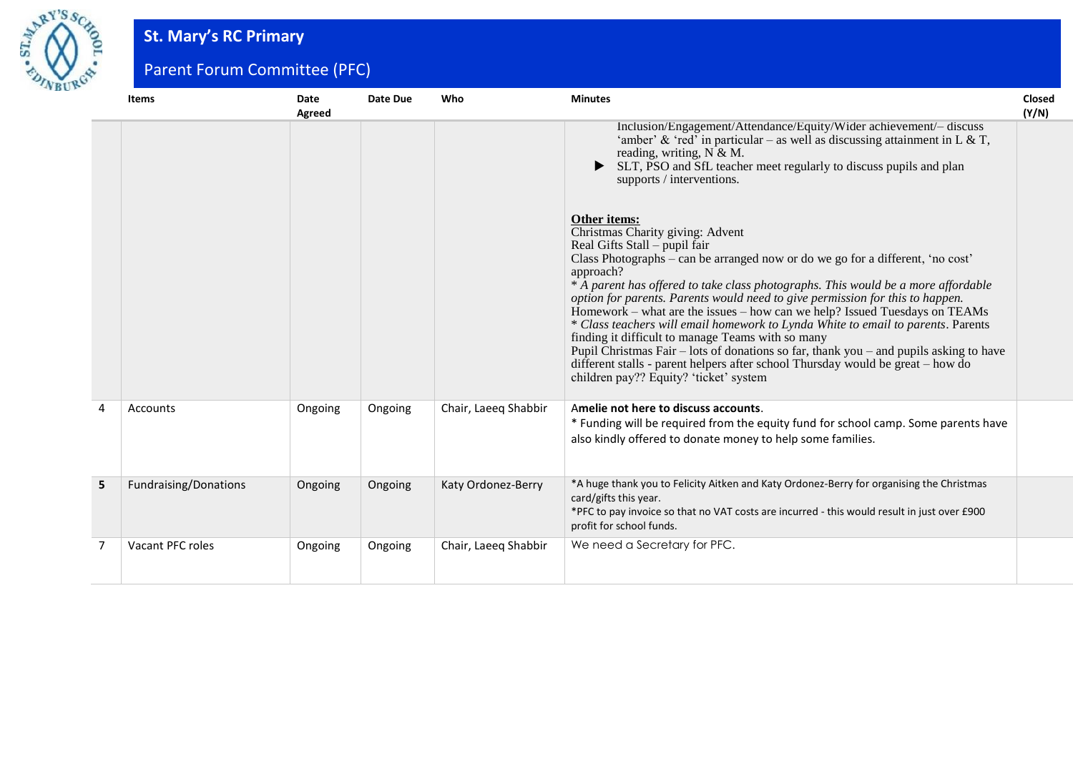

## **St. Mary's RC Primary**

Parent Forum Committee (PFC)

|   | <b>Items</b>          | <b>Date</b><br>Agreed | <b>Date Due</b> | Who                  | <b>Minutes</b>                                                                                                                                                                                                                                                                                                                                                                                                                                                                                                                                                                                                                                                                                                                                                                                           | <b>Closed</b><br>(Y/N) |
|---|-----------------------|-----------------------|-----------------|----------------------|----------------------------------------------------------------------------------------------------------------------------------------------------------------------------------------------------------------------------------------------------------------------------------------------------------------------------------------------------------------------------------------------------------------------------------------------------------------------------------------------------------------------------------------------------------------------------------------------------------------------------------------------------------------------------------------------------------------------------------------------------------------------------------------------------------|------------------------|
|   |                       |                       |                 |                      | Inclusion/Engagement/Attendance/Equity/Wider achievement/- discuss<br>'amber' & 'red' in particular – as well as discussing attainment in L & T,<br>reading, writing, $N & M$ .<br>SLT, PSO and SfL teacher meet regularly to discuss pupils and plan<br>supports / interventions.                                                                                                                                                                                                                                                                                                                                                                                                                                                                                                                       |                        |
|   |                       |                       |                 |                      | Other items:<br>Christmas Charity giving: Advent<br>Real Gifts Stall – pupil fair<br>Class Photographs – can be arranged now or do we go for a different, 'no cost'<br>approach?<br>* A parent has offered to take class photographs. This would be a more affordable<br>option for parents. Parents would need to give permission for this to happen.<br>Homework – what are the issues – how can we help? Issued Tuesdays on TEAMs<br>* Class teachers will email homework to Lynda White to email to parents. Parents<br>finding it difficult to manage Teams with so many<br>Pupil Christmas Fair $-$ lots of donations so far, thank you $-$ and pupils asking to have<br>different stalls - parent helpers after school Thursday would be great – how do<br>children pay?? Equity? 'ticket' system |                        |
| 4 | Accounts              | Ongoing               | Ongoing         | Chair, Laeeq Shabbir | Amelie not here to discuss accounts.<br>* Funding will be required from the equity fund for school camp. Some parents have<br>also kindly offered to donate money to help some families.                                                                                                                                                                                                                                                                                                                                                                                                                                                                                                                                                                                                                 |                        |
| 5 | Fundraising/Donations | Ongoing               | Ongoing         | Katy Ordonez-Berry   | *A huge thank you to Felicity Aitken and Katy Ordonez-Berry for organising the Christmas<br>card/gifts this year.<br>*PFC to pay invoice so that no VAT costs are incurred - this would result in just over £900<br>profit for school funds.                                                                                                                                                                                                                                                                                                                                                                                                                                                                                                                                                             |                        |
| 7 | Vacant PFC roles      | Ongoing               | Ongoing         | Chair, Laeeq Shabbir | We need a Secretary for PFC.                                                                                                                                                                                                                                                                                                                                                                                                                                                                                                                                                                                                                                                                                                                                                                             |                        |